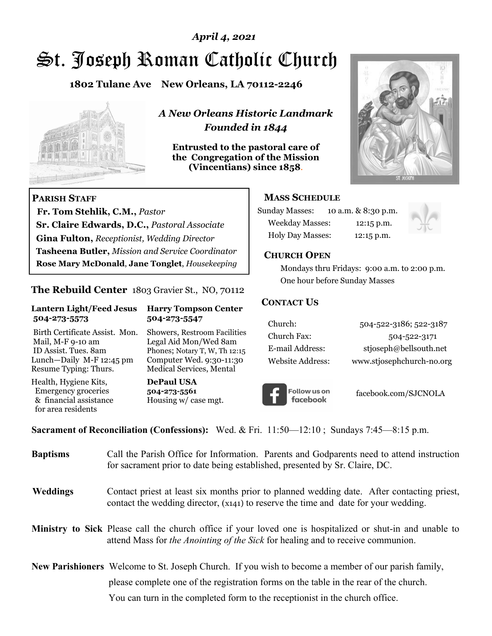# St. Joseph Roman Catholic Church *April 4, 2021*

**1802 Tulane Ave New Orleans, LA 70112-2246**



 **Fr. Tom Stehlik, C.M.,** *Pastor* 

**Sr. Claire Edwards, D.C.,** *Pastoral Associate* **Gina Fulton,** *Receptionist, Wedding Director* 

**Tasheena Butler,** *Mission and Service Coordinator* **Rose Mary McDonald**, **Jane Tonglet**, *Housekeeping*

**The Rebuild Center** 1803 Gravier St., NO, 70112

**Lantern Light/Feed Jesus Harry Tompson Center** 

Birth Certificate Assist. Mon. Showers, Restroom Facilities Mail, M-F 9-10 am Legal Aid Mon/Wed 8am ID Assist. Tues. 8am Phones; Notary T, W, Th 12:15 Lunch—Daily M-F 12:45 pm Computer Wed. 9:30-11:30 Resume Typing: Thurs. Medical Services, Mental

 **504-273-5573 504-273-5547** 

Health, Hygiene Kits, **DePaul USA**  Emergency groceries **504-273-5561**<br>& financial assistance **Housing w/** ca

**PARISH STAFF**

for area residents

*A New Orleans Historic Landmark Founded in 1844* 

**Entrusted to the pastoral care of the Congregation of the Mission (Vincentians) since 1858**.



## **MASS SCHEDULE**

| <b>Sunday Masses:</b>  | 10 a.m. & 8:30 p.m. |
|------------------------|---------------------|
| <b>Weekday Masses:</b> | $12:15$ p.m.        |
| Holy Day Masses:       | 12:15 p.m.          |



#### **CHURCH OPEN**

 Mondays thru Fridays: 9:00 a.m. to 2:00 p.m. One hour before Sunday Masses

## **CONTACT US**

| Church:          | 504-522-3186; 522-3187    |
|------------------|---------------------------|
| Church Fax:      | 504-522-3171              |
| E-mail Address:  | stjoseph@bellsouth.net    |
| Website Address: | www.stjosephchurch-no.org |



facebook.com/SJCNOLA

**Sacrament of Reconciliation (Confessions):** Wed. & Fri. 11:50—12:10 ; Sundays 7:45—8:15 p.m.

Housing w/ case mgt.

| <b>Baptisms</b> | Call the Parish Office for Information. Parents and Godparents need to attend instruction<br>for sacrament prior to date being established, presented by Sr. Claire, DC.                                   |  |
|-----------------|------------------------------------------------------------------------------------------------------------------------------------------------------------------------------------------------------------|--|
| <b>Weddings</b> | Contact priest at least six months prior to planned wedding date. After contacting priest,<br>contact the wedding director, (x141) to reserve the time and date for your wedding.                          |  |
|                 | <b>Ministry to Sick</b> Please call the church office if your loved one is hospitalized or shut-in and unable to<br>attend Mass for <i>the Anointing of the Sick</i> for healing and to receive communion. |  |
|                 | <b>New Parishioners</b> Welcome to St. Joseph Church. If you wish to become a member of our parish family,                                                                                                 |  |
|                 | please complete one of the registration forms on the table in the rear of the church.                                                                                                                      |  |
|                 | You can turn in the completed form to the reception is the church office.                                                                                                                                  |  |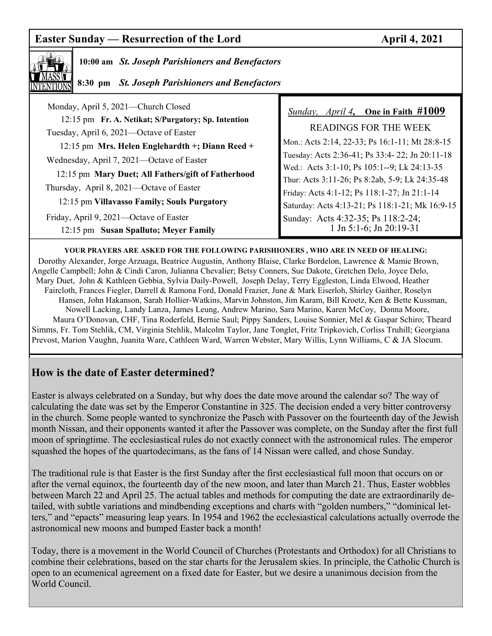# **Easter Sunday — Resurrection of the Lord April 4, 2021**



## **10:00 am** *St. Joseph Parishioners and Benefactors*

 **8:30 pm** *St. Joseph Parishioners and Benefactors*

| Monday, April 5, 2021—Church Closed                 | <b>Sunday, April 4, One in Faith #1009</b>      |
|-----------------------------------------------------|-------------------------------------------------|
| 12:15 pm Fr. A. Netikat; S/Purgatory; Sp. Intention | READINGS FOR THE WEEK                           |
| Tuesday, April 6, 2021—Octave of Easter             | Mon.: Acts 2:14, 22-33; Ps 16:1-11; Mt 28:8-15  |
| 12:15 pm Mrs. Helen Englehardth +; Diann Reed +     | Tuesday: Acts 2:36-41; Ps 33:4-22; Jn 20:11-18  |
| Wednesday, April 7, 2021-Octave of Easter           | Wed.: Acts 3:1-10; Ps 105:1--9; Lk 24:13-35     |
| 12:15 pm Mary Duet; All Fathers/gift of Fatherhood  | Thur: Acts 3:11-26; Ps 8:2ab, 5-9; Lk 24:35-48  |
| Thursday, April 8, 2021—Octave of Easter            | Friday: Acts 4:1-12; Ps 118:1-27; Jn 21:1-14    |
| 12:15 pm Villavasso Family; Souls Purgatory         | Saturday: Acts 4:13-21; Ps 118:1-21; Mk 16:9-15 |
| Friday, April 9, 2021—Octave of Easter              | Sunday: Acts 4:32-35; Ps 118:2-24;              |
| 12:15 pm Susan Spalluto; Meyer Family               | 1 Jn 5:1-6; Jn 20:19-31                         |

**YOUR PRAYERS ARE ASKED FOR THE FOLLOWING PARISHIONERS , WHO ARE IN NEED OF HEALING:**  Dorothy Alexander, Jorge Arzuaga, Beatrice Augustin, Anthony Blaise, Clarke Bordelon, Lawrence & Mamie Brown, Angelle Campbell; John & Cindi Caron, Julianna Chevalier; Betsy Conners, Sue Dakote, Gretchen Delo, Joyce Delo, Mary Duet, John & Kathleen Gebbia, Sylvia Daily-Powell, Joseph Delay, Terry Eggleston, Linda Elwood, Heather Faircloth, Frances Fiegler, Darrell & Ramona Ford, Donald Frazier, June & Mark Eiserloh, Shirley Gaither, Roselyn Hansen, John Hakanson, Sarah Hollier-Watkins, Marvin Johnston, Jim Karam, Bill Kroetz, Ken & Bette Kussman, Nowell Lacking, Landy Lanza, James Leung, Andrew Marino, Sara Marino, Karen McCoy, Donna Moore, Maura O'Donovan, CHF, Tina Roderfeld, Bernie Saul; Pippy Sanders, Louise Sonnier, Mel & Gaspar Schiro; Theard Simms, Fr. Tom Stehlik, CM, Virginia Stehlik, Malcolm Taylor, Jane Tonglet, Fritz Tripkovich, Corliss Truhill; Georgiana Prevost, Marion Vaughn, Juanita Ware, Cathleen Ward, Warren Webster, Mary Willis, Lynn Williams, C & JA Slocum.

## **How is the date of Easter determined?**

Easter is always celebrated on a Sunday, but why does the date move around the calendar so? The way of calculating the date was set by the Emperor Constantine in 325. The decision ended a very bitter controversy in the church. Some people wanted to synchronize the Pasch with Passover on the fourteenth day of the Jewish month Nissan, and their opponents wanted it after the Passover was complete, on the Sunday after the first full moon of springtime. The ecclesiastical rules do not exactly connect with the astronomical rules. The emperor squashed the hopes of the quartodecimans, as the fans of 14 Nissan were called, and chose Sunday.

The traditional rule is that Easter is the first Sunday after the first ecclesiastical full moon that occurs on or after the vernal equinox, the fourteenth day of the new moon, and later than March 21. Thus, Easter wobbles between March 22 and April 25. The actual tables and methods for computing the date are extraordinarily detailed, with subtle variations and mindbending exceptions and charts with "golden numbers," "dominical letters," and "epacts" measuring leap years. In 1954 and 1962 the ecclesiastical calculations actually overrode the astronomical new moons and bumped Easter back a month!

Today, there is a movement in the World Council of Churches (Protestants and Orthodox) for all Christians to combine their celebrations, based on the star charts for the Jerusalem skies. In principle, the Catholic Church is open to an ecumenical agreement on a fixed date for Easter, but we desire a unanimous decision from the World Council.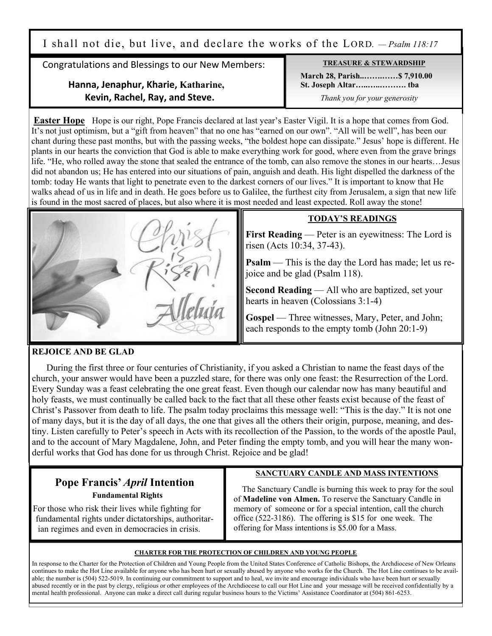I shall not die, but live, and declare the works of the LORD. *— Psalm 118:17*

Congratulations and Blessings to our New Members:

## **Hanna, Jenaphur, Kharie, Katharine, Kevin, Rachel, Ray, and Steve.**

**TREASURE & STEWARDSHIP March 28, Parish..…….……\$ 7,910.00 St. Joseph Altar…..…..………. tba** *Thank you for your generosity*

**Easter Hope** Hope is our right, Pope Francis declared at last year's Easter Vigil. It is a hope that comes from God. It's not just optimism, but a "gift from heaven" that no one has "earned on our own". "All will be well", has been our chant during these past months, but with the passing weeks, "the boldest hope can dissipate." Jesus' hope is different. He plants in our hearts the conviction that God is able to make everything work for good, where even from the grave brings life. "He, who rolled away the stone that sealed the entrance of the tomb, can also remove the stones in our hearts…Jesus did not abandon us; He has entered into our situations of pain, anguish and death. His light dispelled the darkness of the tomb: today He wants that light to penetrate even to the darkest corners of our lives." It is important to know that He walks ahead of us in life and in death. He goes before us to Galilee, the furthest city from Jerusalem, a sign that new life is found in the most sacred of places, but also where it is most needed and least expected. Roll away the stone!



## **TODAY'S READINGS**

**First Reading** — Peter is an eyewitness: The Lord is risen (Acts 10:34, 37-43).

**Psalm** — This is the day the Lord has made; let us rejoice and be glad (Psalm 118).

**Second Reading** — All who are baptized, set your hearts in heaven (Colossians 3:1-4)

Gospel — Three witnesses, Mary, Peter, and John; each responds to the empty tomb (John 20:1-9)

#### **REJOICE AND BE GLAD**

 During the first three or four centuries of Christianity, if you asked a Christian to name the feast days of the church, your answer would have been a puzzled stare, for there was only one feast: the Resurrection of the Lord. Every Sunday was a feast celebrating the one great feast. Even though our calendar now has many beautiful and holy feasts, we must continually be called back to the fact that all these other feasts exist because of the feast of Christ's Passover from death to life. The psalm today proclaims this message well: "This is the day." It is not one of many days, but it is the day of all days, the one that gives all the others their origin, purpose, meaning, and destiny. Listen carefully to Peter's speech in Acts with its recollection of the Passion, to the words of the apostle Paul, and to the account of Mary Magdalene, John, and Peter finding the empty tomb, and you will hear the many wonderful works that God has done for us through Christ. Rejoice and be glad!

## **Pope Francis'** *April* **Intention Fundamental Rights**

 For those who risk their lives while fighting for fundamental rights under dictatorships, authoritar ian regimes and even in democracies in crisis.

#### **SANCTUARY CANDLE AND MASS INTENTIONS**

 The Sanctuary Candle is burning this week to pray for the soul of **Madeline von Almen.** To reserve the Sanctuary Candle in memory of someone or for a special intention, call the church office (522-3186). The offering is \$15 for one week. The offering for Mass intentions is \$5.00 for a Mass.

#### **CHARTER FOR THE PROTECTION OF CHILDREN AND YOUNG PEOPLE**

In response to the Charter for the Protection of Children and Young People from the United States Conference of Catholic Bishops, the Archdiocese of New Orleans continues to make the Hot Line available for anyone who has been hurt or sexually abused by anyone who works for the Church. The Hot Line continues to be available; the number is (504) 522-5019. In continuing our commitment to support and to heal, we invite and encourage individuals who have been hurt or sexually abused recently or in the past by clergy, religious or other employees of the Archdiocese to call our Hot Line and your message will be received confidentially by a mental health professional. Anyone can make a direct call during regular business hours to the Victims' Assistance Coordinator at (504) 861-6253.